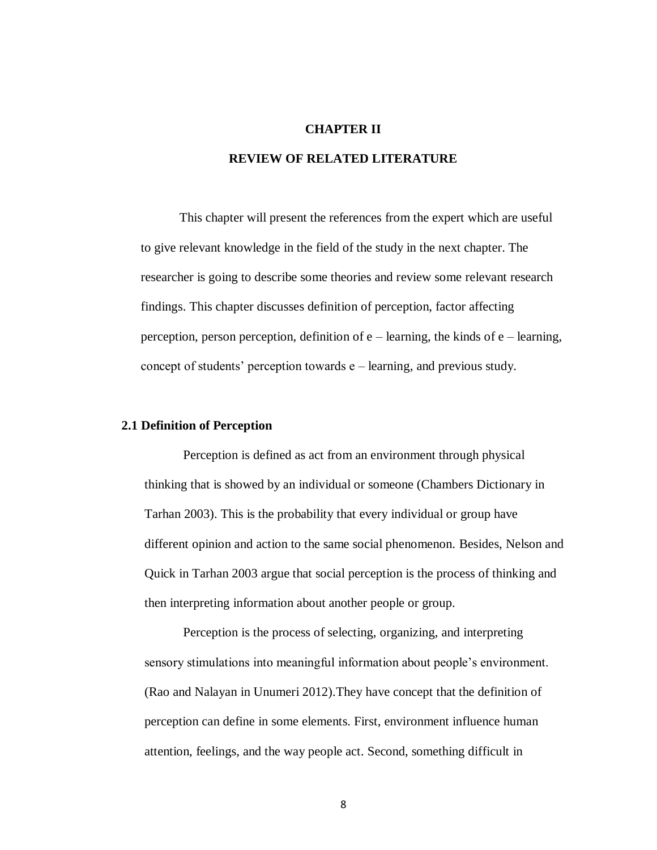#### **CHAPTER II**

# **REVIEW OF RELATED LITERATURE**

This chapter will present the references from the expert which are useful to give relevant knowledge in the field of the study in the next chapter. The researcher is going to describe some theories and review some relevant research findings. This chapter discusses definition of perception, factor affecting perception, person perception, definition of e – learning, the kinds of e – learning, concept of students' perception towards e – learning, and previous study.

## **2.1 Definition of Perception**

Perception is defined as act from an environment through physical thinking that is showed by an individual or someone (Chambers Dictionary in Tarhan 2003). This is the probability that every individual or group have different opinion and action to the same social phenomenon. Besides, Nelson and Quick in Tarhan 2003 argue that social perception is the process of thinking and then interpreting information about another people or group.

Perception is the process of selecting, organizing, and interpreting sensory stimulations into meaningful information about people's environment. (Rao and Nalayan in Unumeri 2012).They have concept that the definition of perception can define in some elements. First, environment influence human attention, feelings, and the way people act. Second, something difficult in

8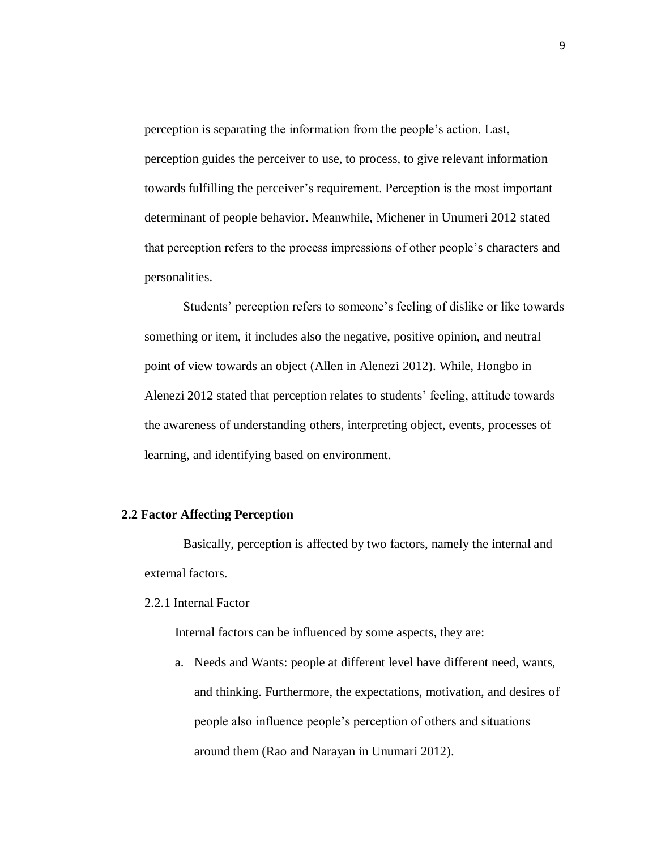perception is separating the information from the people's action. Last, perception guides the perceiver to use, to process, to give relevant information towards fulfilling the perceiver's requirement. Perception is the most important determinant of people behavior. Meanwhile, Michener in Unumeri 2012 stated that perception refers to the process impressions of other people's characters and personalities.

Students' perception refers to someone's feeling of dislike or like towards something or item, it includes also the negative, positive opinion, and neutral point of view towards an object (Allen in Alenezi 2012). While, Hongbo in Alenezi 2012 stated that perception relates to students' feeling, attitude towards the awareness of understanding others, interpreting object, events, processes of learning, and identifying based on environment.

### **2.2 Factor Affecting Perception**

Basically, perception is affected by two factors, namely the internal and external factors.

## 2.2.1 Internal Factor

Internal factors can be influenced by some aspects, they are:

a. Needs and Wants: people at different level have different need, wants, and thinking. Furthermore, the expectations, motivation, and desires of people also influence people's perception of others and situations around them (Rao and Narayan in Unumari 2012).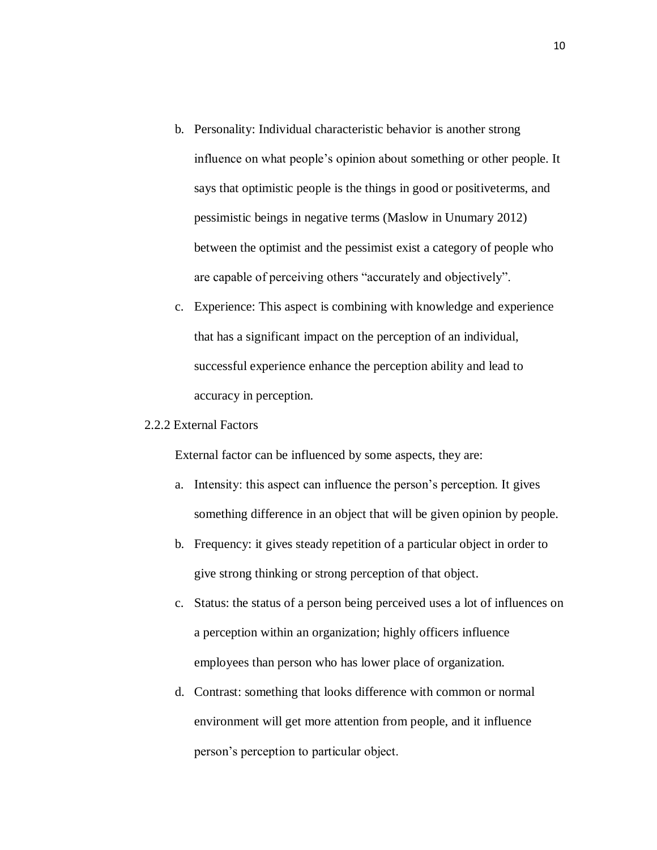- b. Personality: Individual characteristic behavior is another strong influence on what people's opinion about something or other people. It says that optimistic people is the things in good or positiveterms, and pessimistic beings in negative terms (Maslow in Unumary 2012) between the optimist and the pessimist exist a category of people who are capable of perceiving others "accurately and objectively".
- c. Experience: This aspect is combining with knowledge and experience that has a significant impact on the perception of an individual, successful experience enhance the perception ability and lead to accuracy in perception.

## 2.2.2 External Factors

External factor can be influenced by some aspects, they are:

- a. Intensity: this aspect can influence the person's perception. It gives something difference in an object that will be given opinion by people.
- b. Frequency: it gives steady repetition of a particular object in order to give strong thinking or strong perception of that object.
- c. Status: the status of a person being perceived uses a lot of influences on a perception within an organization; highly officers influence employees than person who has lower place of organization.
- d. Contrast: something that looks difference with common or normal environment will get more attention from people, and it influence person's perception to particular object.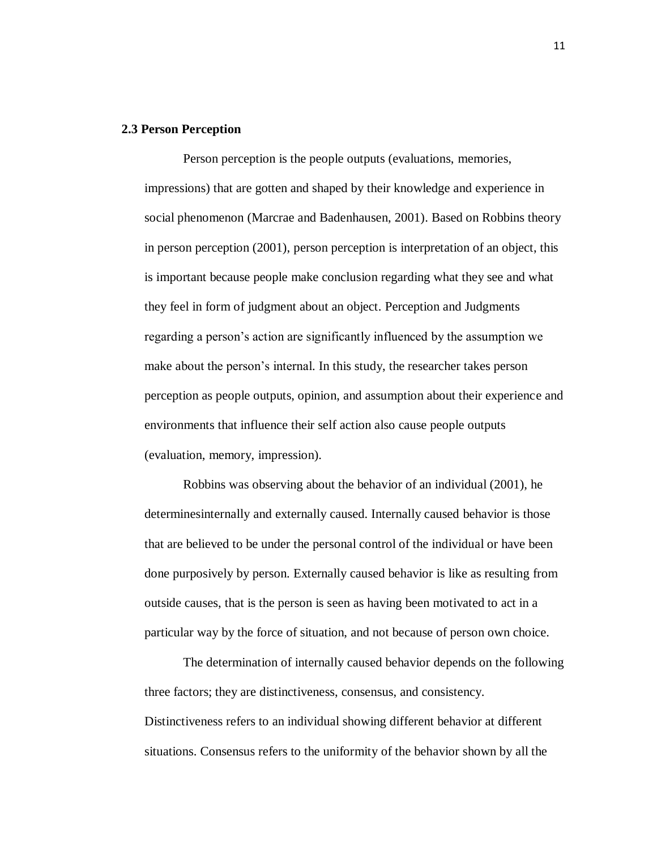#### **2.3 Person Perception**

Person perception is the people outputs (evaluations, memories, impressions) that are gotten and shaped by their knowledge and experience in social phenomenon (Marcrae and Badenhausen, 2001). Based on Robbins theory in person perception (2001), person perception is interpretation of an object, this is important because people make conclusion regarding what they see and what they feel in form of judgment about an object. Perception and Judgments regarding a person's action are significantly influenced by the assumption we make about the person's internal. In this study, the researcher takes person perception as people outputs, opinion, and assumption about their experience and environments that influence their self action also cause people outputs (evaluation, memory, impression).

Robbins was observing about the behavior of an individual (2001), he determinesinternally and externally caused. Internally caused behavior is those that are believed to be under the personal control of the individual or have been done purposively by person. Externally caused behavior is like as resulting from outside causes, that is the person is seen as having been motivated to act in a particular way by the force of situation, and not because of person own choice.

The determination of internally caused behavior depends on the following three factors; they are distinctiveness, consensus, and consistency. Distinctiveness refers to an individual showing different behavior at different situations. Consensus refers to the uniformity of the behavior shown by all the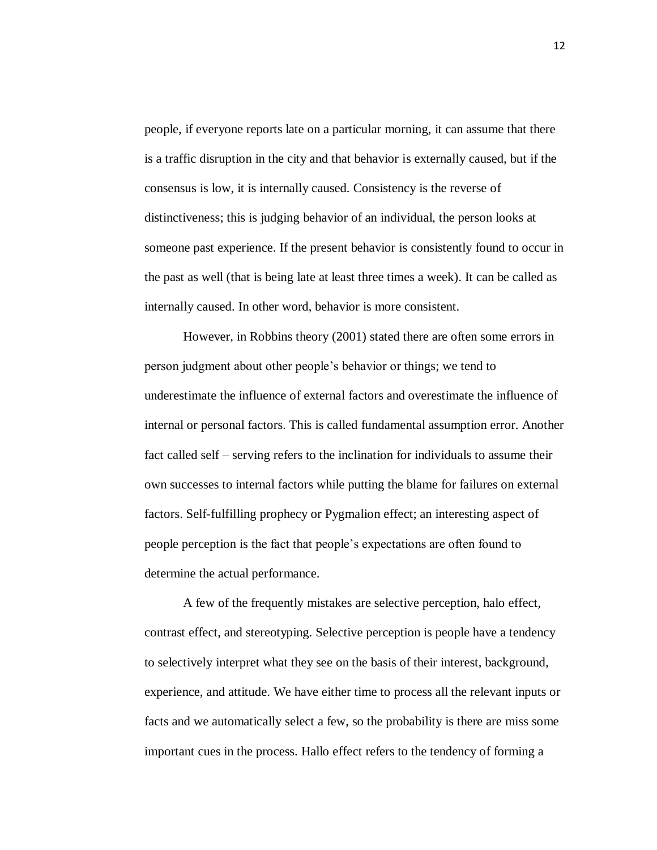people, if everyone reports late on a particular morning, it can assume that there is a traffic disruption in the city and that behavior is externally caused, but if the consensus is low, it is internally caused. Consistency is the reverse of distinctiveness; this is judging behavior of an individual, the person looks at someone past experience. If the present behavior is consistently found to occur in the past as well (that is being late at least three times a week). It can be called as internally caused. In other word, behavior is more consistent.

However, in Robbins theory (2001) stated there are often some errors in person judgment about other people's behavior or things; we tend to underestimate the influence of external factors and overestimate the influence of internal or personal factors. This is called fundamental assumption error. Another fact called self – serving refers to the inclination for individuals to assume their own successes to internal factors while putting the blame for failures on external factors. Self-fulfilling prophecy or Pygmalion effect; an interesting aspect of people perception is the fact that people's expectations are often found to determine the actual performance.

A few of the frequently mistakes are selective perception, halo effect, contrast effect, and stereotyping. Selective perception is people have a tendency to selectively interpret what they see on the basis of their interest, background, experience, and attitude. We have either time to process all the relevant inputs or facts and we automatically select a few, so the probability is there are miss some important cues in the process. Hallo effect refers to the tendency of forming a

12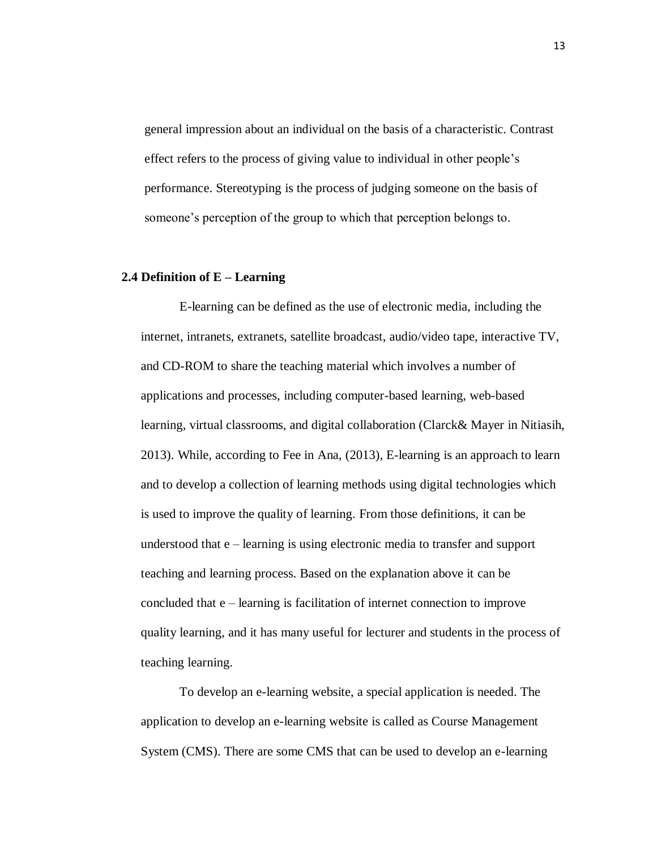general impression about an individual on the basis of a characteristic. Contrast effect refers to the process of giving value to individual in other people's performance. Stereotyping is the process of judging someone on the basis of someone's perception of the group to which that perception belongs to.

#### **2.4 Definition of E – Learning**

E-learning can be defined as the use of electronic media, including the internet, intranets, extranets, satellite broadcast, audio/video tape, interactive TV, and CD-ROM to share the teaching material which involves a number of applications and processes, including computer-based learning, web-based learning, virtual classrooms, and digital collaboration (Clarck& Mayer in Nitiasih, 2013). While, according to Fee in Ana, (2013), E-learning is an approach to learn and to develop a collection of learning methods using digital technologies which is used to improve the quality of learning. From those definitions, it can be understood that e – learning is using electronic media to transfer and support teaching and learning process. Based on the explanation above it can be concluded that e – learning is facilitation of internet connection to improve quality learning, and it has many useful for lecturer and students in the process of teaching learning.

To develop an e-learning website, a special application is needed. The application to develop an e-learning website is called as Course Management System (CMS). There are some CMS that can be used to develop an e-learning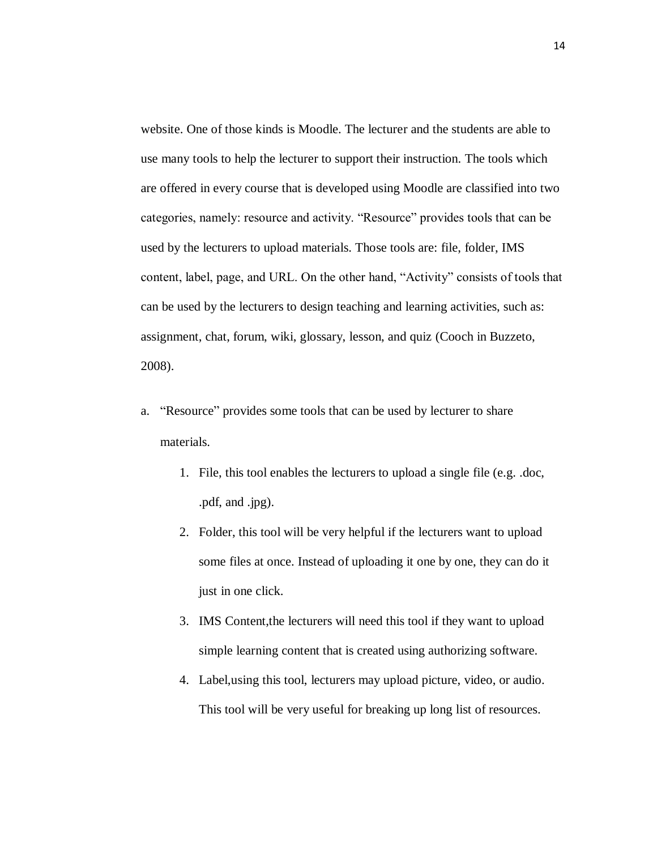website. One of those kinds is Moodle. The lecturer and the students are able to use many tools to help the lecturer to support their instruction. The tools which are offered in every course that is developed using Moodle are classified into two categories, namely: resource and activity. "Resource" provides tools that can be used by the lecturers to upload materials. Those tools are: file, folder, IMS content, label, page, and URL. On the other hand, "Activity" consists of tools that can be used by the lecturers to design teaching and learning activities, such as: assignment, chat, forum, wiki, glossary, lesson, and quiz (Cooch in Buzzeto, 2008).

- a. "Resource" provides some tools that can be used by lecturer to share materials.
	- 1. File, this tool enables the lecturers to upload a single file (e.g. .doc, .pdf, and .jpg).
	- 2. Folder, this tool will be very helpful if the lecturers want to upload some files at once. Instead of uploading it one by one, they can do it just in one click.
	- 3. IMS Content,the lecturers will need this tool if they want to upload simple learning content that is created using authorizing software.
	- 4. Label,using this tool, lecturers may upload picture, video, or audio. This tool will be very useful for breaking up long list of resources.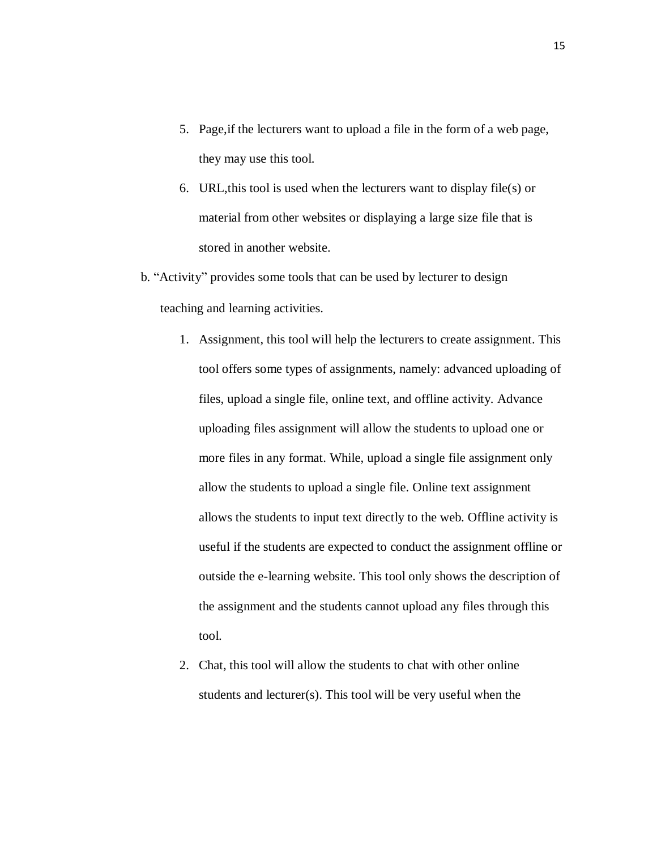- 5. Page,if the lecturers want to upload a file in the form of a web page, they may use this tool.
- 6. URL,this tool is used when the lecturers want to display file(s) or material from other websites or displaying a large size file that is stored in another website.
- b. "Activity" provides some tools that can be used by lecturer to design teaching and learning activities.
	- 1. Assignment, this tool will help the lecturers to create assignment. This tool offers some types of assignments, namely: advanced uploading of files, upload a single file, online text, and offline activity. Advance uploading files assignment will allow the students to upload one or more files in any format. While, upload a single file assignment only allow the students to upload a single file. Online text assignment allows the students to input text directly to the web. Offline activity is useful if the students are expected to conduct the assignment offline or outside the e-learning website. This tool only shows the description of the assignment and the students cannot upload any files through this tool.
	- 2. Chat, this tool will allow the students to chat with other online students and lecturer(s). This tool will be very useful when the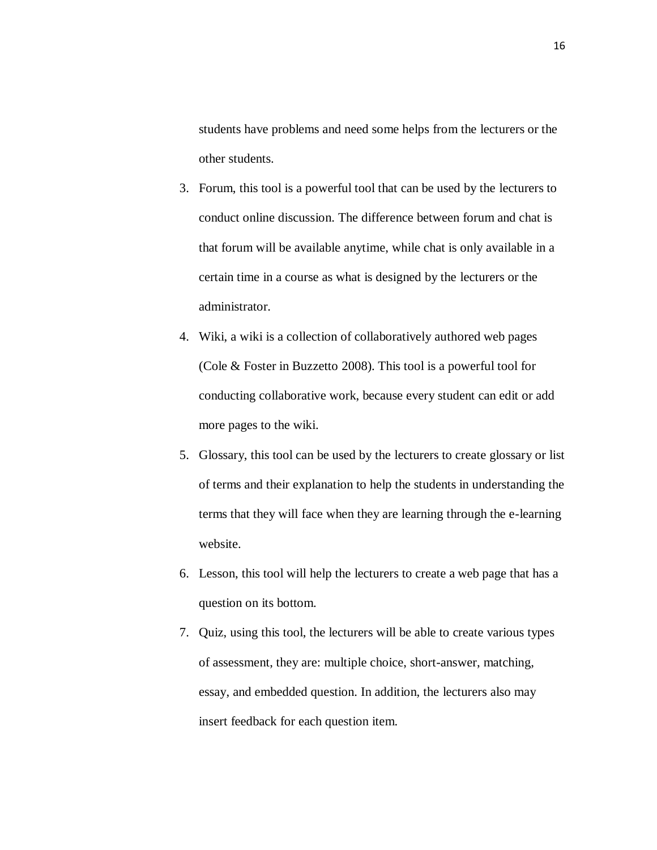students have problems and need some helps from the lecturers or the other students.

- 3. Forum, this tool is a powerful tool that can be used by the lecturers to conduct online discussion. The difference between forum and chat is that forum will be available anytime, while chat is only available in a certain time in a course as what is designed by the lecturers or the administrator.
- 4. Wiki, a wiki is a collection of collaboratively authored web pages (Cole & Foster in Buzzetto 2008). This tool is a powerful tool for conducting collaborative work, because every student can edit or add more pages to the wiki.
- 5. Glossary, this tool can be used by the lecturers to create glossary or list of terms and their explanation to help the students in understanding the terms that they will face when they are learning through the e-learning website.
- 6. Lesson, this tool will help the lecturers to create a web page that has a question on its bottom.
- 7. Quiz, using this tool, the lecturers will be able to create various types of assessment, they are: multiple choice, short-answer, matching, essay, and embedded question. In addition, the lecturers also may insert feedback for each question item.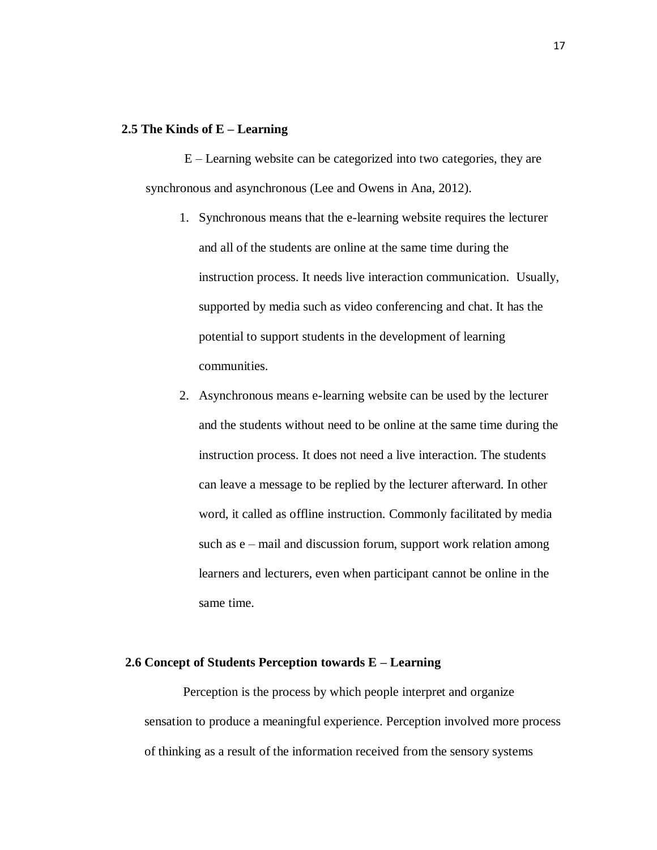## **2.5 The Kinds of E – Learning**

E – Learning website can be categorized into two categories, they are synchronous and asynchronous (Lee and Owens in Ana, 2012).

- 1. Synchronous means that the e-learning website requires the lecturer and all of the students are online at the same time during the instruction process. It needs live interaction communication. Usually, supported by media such as video conferencing and chat. It has the potential to support students in the development of learning communities.
- 2. Asynchronous means e-learning website can be used by the lecturer and the students without need to be online at the same time during the instruction process. It does not need a live interaction. The students can leave a message to be replied by the lecturer afterward. In other word, it called as offline instruction. Commonly facilitated by media such as e – mail and discussion forum, support work relation among learners and lecturers, even when participant cannot be online in the same time.

### **2.6 Concept of Students Perception towards E – Learning**

Perception is the process by which people interpret and organize sensation to produce a meaningful experience. Perception involved more process of thinking as a result of the information received from the sensory systems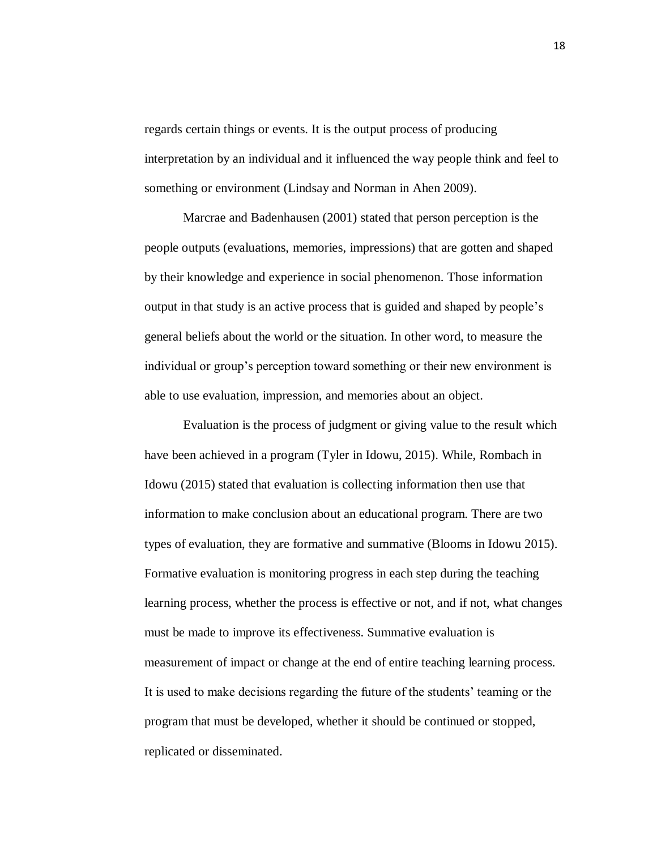regards certain things or events. It is the output process of producing interpretation by an individual and it influenced the way people think and feel to something or environment (Lindsay and Norman in Ahen 2009).

Marcrae and Badenhausen (2001) stated that person perception is the people outputs (evaluations, memories, impressions) that are gotten and shaped by their knowledge and experience in social phenomenon. Those information output in that study is an active process that is guided and shaped by people's general beliefs about the world or the situation. In other word, to measure the individual or group's perception toward something or their new environment is able to use evaluation, impression, and memories about an object.

Evaluation is the process of judgment or giving value to the result which have been achieved in a program (Tyler in Idowu, 2015). While, Rombach in Idowu (2015) stated that evaluation is collecting information then use that information to make conclusion about an educational program. There are two types of evaluation, they are formative and summative (Blooms in Idowu 2015). Formative evaluation is monitoring progress in each step during the teaching learning process, whether the process is effective or not, and if not, what changes must be made to improve its effectiveness. Summative evaluation is measurement of impact or change at the end of entire teaching learning process. It is used to make decisions regarding the future of the students' teaming or the program that must be developed, whether it should be continued or stopped, replicated or disseminated.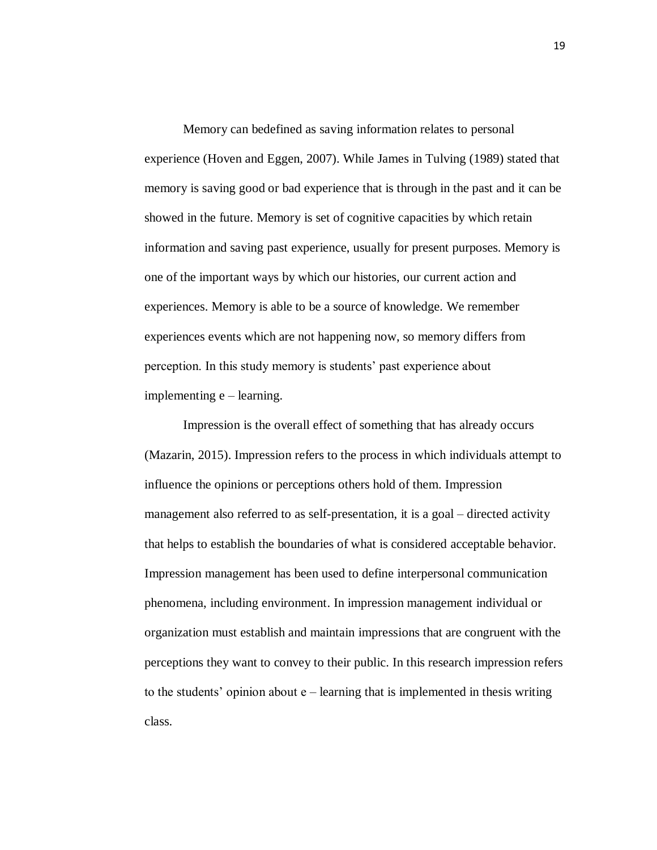Memory can bedefined as saving information relates to personal experience (Hoven and Eggen, 2007). While James in Tulving (1989) stated that memory is saving good or bad experience that is through in the past and it can be showed in the future. Memory is set of cognitive capacities by which retain information and saving past experience, usually for present purposes. Memory is one of the important ways by which our histories, our current action and experiences. Memory is able to be a source of knowledge. We remember experiences events which are not happening now, so memory differs from perception. In this study memory is students' past experience about implementing e – learning.

Impression is the overall effect of something that has already occurs (Mazarin, 2015). Impression refers to the process in which individuals attempt to influence the opinions or perceptions others hold of them. Impression management also referred to as self-presentation, it is a goal – directed activity that helps to establish the boundaries of what is considered acceptable behavior. Impression management has been used to define interpersonal communication phenomena, including environment. In impression management individual or organization must establish and maintain impressions that are congruent with the perceptions they want to convey to their public. In this research impression refers to the students' opinion about e – learning that is implemented in thesis writing class.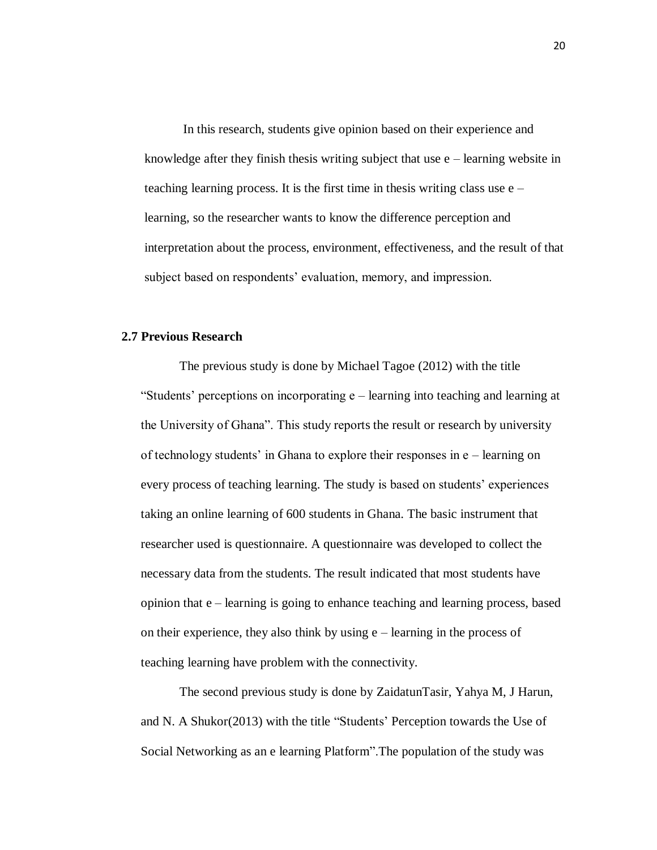In this research, students give opinion based on their experience and knowledge after they finish thesis writing subject that use e – learning website in teaching learning process. It is the first time in thesis writing class use e – learning, so the researcher wants to know the difference perception and interpretation about the process, environment, effectiveness, and the result of that subject based on respondents' evaluation, memory, and impression.

## **2.7 Previous Research**

The previous study is done by Michael Tagoe (2012) with the title "Students' perceptions on incorporating e – learning into teaching and learning at the University of Ghana". This study reports the result or research by university of technology students' in Ghana to explore their responses in e – learning on every process of teaching learning. The study is based on students' experiences taking an online learning of 600 students in Ghana. The basic instrument that researcher used is questionnaire. A questionnaire was developed to collect the necessary data from the students. The result indicated that most students have opinion that e – learning is going to enhance teaching and learning process, based on their experience, they also think by using  $e$  – learning in the process of teaching learning have problem with the connectivity.

The second previous study is done by ZaidatunTasir, Yahya M, J Harun, and N. A Shukor(2013) with the title "Students' Perception towards the Use of Social Networking as an e learning Platform".The population of the study was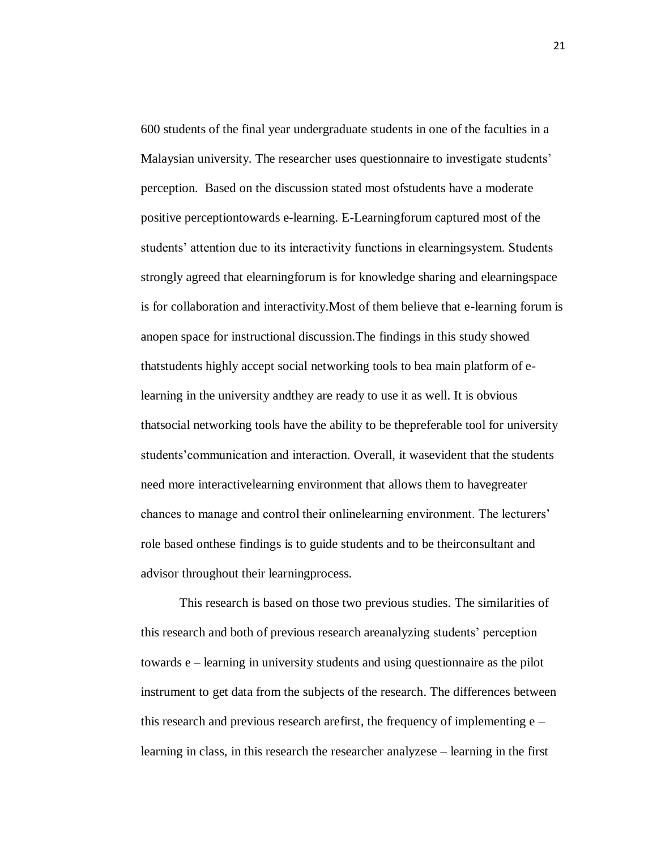600 students of the final year undergraduate students in one of the faculties in a Malaysian university. The researcher uses questionnaire to investigate students' perception. Based on the discussion stated most ofstudents have a moderate positive perceptiontowards e-learning. E-Learningforum captured most of the students' attention due to its interactivity functions in elearningsystem. Students strongly agreed that elearningforum is for knowledge sharing and elearningspace is for collaboration and interactivity.Most of them believe that e-learning forum is anopen space for instructional discussion.The findings in this study showed thatstudents highly accept social networking tools to bea main platform of elearning in the university andthey are ready to use it as well. It is obvious thatsocial networking tools have the ability to be thepreferable tool for university students'communication and interaction. Overall, it wasevident that the students need more interactivelearning environment that allows them to havegreater chances to manage and control their onlinelearning environment. The lecturers' role based onthese findings is to guide students and to be theirconsultant and advisor throughout their learningprocess.

This research is based on those two previous studies. The similarities of this research and both of previous research areanalyzing students' perception towards e – learning in university students and using questionnaire as the pilot instrument to get data from the subjects of the research. The differences between this research and previous research arefirst, the frequency of implementing e – learning in class, in this research the researcher analyzese – learning in the first